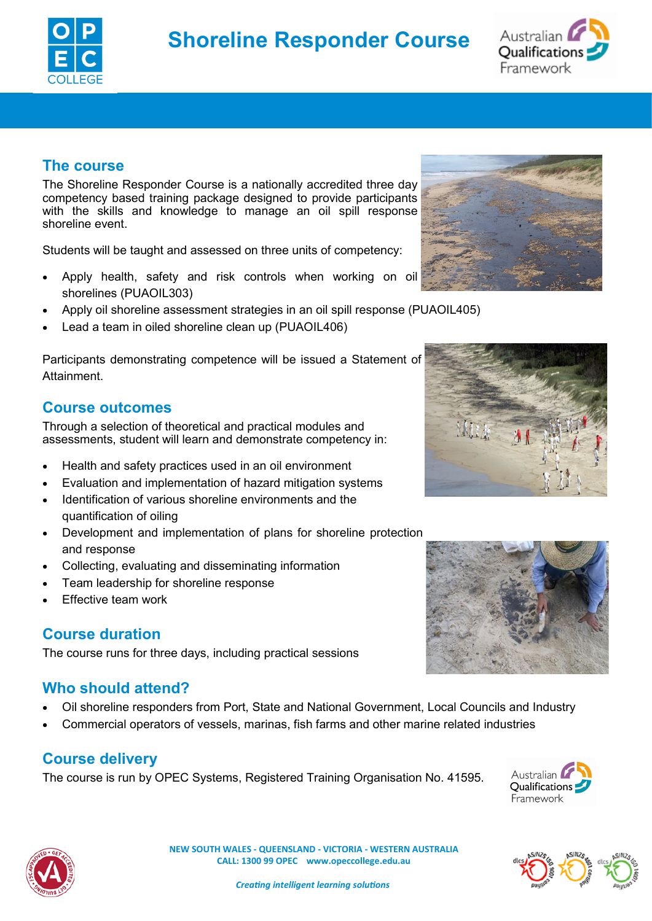



## **The course**

The Shoreline Responder Course is a nationally accredited three day competency based training package designed to provide participants with the skills and knowledge to manage an oil spill response shoreline event.

Students will be taught and assessed on three units of competency:

- Apply health, safety and risk controls when working on oil shorelines (PUAOIL303)
- Apply oil shoreline assessment strategies in an oil spill response (PUAOIL405)
- Lead a team in oiled shoreline clean up (PUAOIL406)

Participants demonstrating competence will be issued a Statement of Attainment.

#### **Course outcomes**

Through a selection of theoretical and practical modules and assessments, student will learn and demonstrate competency in:

- Health and safety practices used in an oil environment
- Evaluation and implementation of hazard mitigation systems
- Identification of various shoreline environments and the quantification of oiling
- Development and implementation of plans for shoreline protection and response
- Collecting, evaluating and disseminating information
- Team leadership for shoreline response
- Effective team work

### **Course duration**

The course runs for three days, including practical sessions

### **Who should attend?**

- Oil shoreline responders from Port, State and National Government, Local Councils and Industry
- Commercial operators of vessels, marinas, fish farms and other marine related industries

### **Course delivery**

The course is run by OPEC Systems, Registered Training Organisation No. 41595.







 **NEW SOUTH WALES - QUEENSLAND - VICTORIA - WESTERN AUSTRALIA CALL: 1300 99 OPEC www.opeccollege.edu.au**

 *Creating intelligent learning solutions*